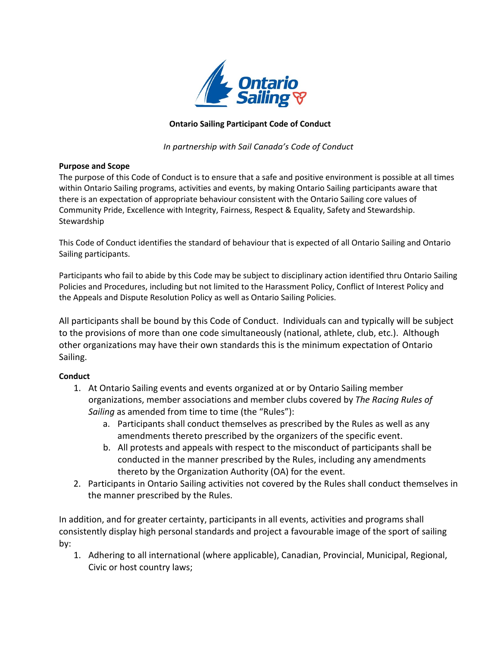

## **Ontario Sailing Participant Code of Conduct**

*In partnership with Sail Canada's Code of Conduct*

## **Purpose and Scope**

The purpose of this Code of Conduct is to ensure that a safe and positive environment is possible at all times within Ontario Sailing programs, activities and events, by making Ontario Sailing participants aware that there is an expectation of appropriate behaviour consistent with the Ontario Sailing core values of Community Pride, Excellence with Integrity, Fairness, Respect & Equality, Safety and Stewardship. Stewardship

This Code of Conduct identifies the standard of behaviour that is expected of all Ontario Sailing and Ontario Sailing participants.

Participants who fail to abide by this Code may be subject to disciplinary action identified thru Ontario Sailing Policies and Procedures, including but not limited to the Harassment Policy, Conflict of Interest Policy and the Appeals and Dispute Resolution Policy as well as Ontario Sailing Policies.

All participants shall be bound by this Code of Conduct. Individuals can and typically will be subject to the provisions of more than one code simultaneously (national, athlete, club, etc.). Although other organizations may have their own standards this is the minimum expectation of Ontario Sailing.

## **Conduct**

- 1. At Ontario Sailing events and events organized at or by Ontario Sailing member organizations, member associations and member clubs covered by *The Racing Rules of Sailing* as amended from time to time (the "Rules"):
	- a. Participants shall conduct themselves as prescribed by the Rules as well as any amendments thereto prescribed by the organizers of the specific event.
	- b. All protests and appeals with respect to the misconduct of participants shall be conducted in the manner prescribed by the Rules, including any amendments thereto by the Organization Authority (OA) for the event.
- 2. Participants in Ontario Sailing activities not covered by the Rules shall conduct themselves in the manner prescribed by the Rules.

In addition, and for greater certainty, participants in all events, activities and programs shall consistently display high personal standards and project a favourable image of the sport of sailing by:

1. Adhering to all international (where applicable), Canadian, Provincial, Municipal, Regional, Civic or host country laws;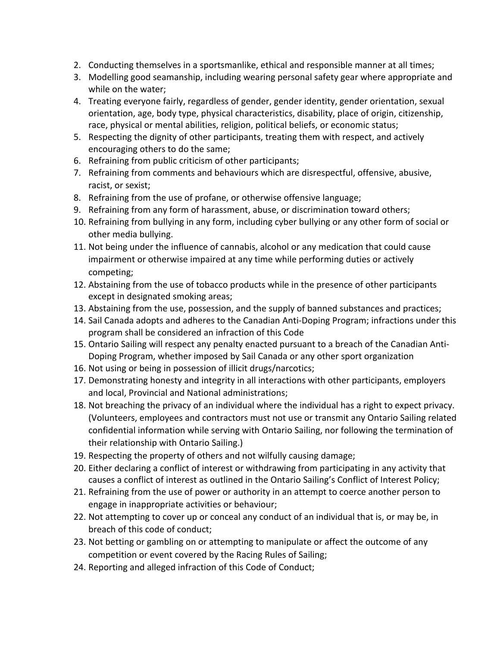- 2. Conducting themselves in a sportsmanlike, ethical and responsible manner at all times;
- 3. Modelling good seamanship, including wearing personal safety gear where appropriate and while on the water;
- 4. Treating everyone fairly, regardless of gender, gender identity, gender orientation, sexual orientation, age, body type, physical characteristics, disability, place of origin, citizenship, race, physical or mental abilities, religion, political beliefs, or economic status;
- 5. Respecting the dignity of other participants, treating them with respect, and actively encouraging others to do the same;
- 6. Refraining from public criticism of other participants;
- 7. Refraining from comments and behaviours which are disrespectful, offensive, abusive, racist, or sexist;
- 8. Refraining from the use of profane, or otherwise offensive language;
- 9. Refraining from any form of harassment, abuse, or discrimination toward others;
- 10. Refraining from bullying in any form, including cyber bullying or any other form of social or other media bullying.
- 11. Not being under the influence of cannabis, alcohol or any medication that could cause impairment or otherwise impaired at any time while performing duties or actively competing;
- 12. Abstaining from the use of tobacco products while in the presence of other participants except in designated smoking areas;
- 13. Abstaining from the use, possession, and the supply of banned substances and practices;
- 14. Sail Canada adopts and adheres to the Canadian Anti-Doping Program; infractions under this program shall be considered an infraction of this Code
- 15. Ontario Sailing will respect any penalty enacted pursuant to a breach of the Canadian Anti-Doping Program, whether imposed by Sail Canada or any other sport organization
- 16. Not using or being in possession of illicit drugs/narcotics;
- 17. Demonstrating honesty and integrity in all interactions with other participants, employers and local, Provincial and National administrations;
- 18. Not breaching the privacy of an individual where the individual has a right to expect privacy. (Volunteers, employees and contractors must not use or transmit any Ontario Sailing related confidential information while serving with Ontario Sailing, nor following the termination of their relationship with Ontario Sailing.)
- 19. Respecting the property of others and not wilfully causing damage;
- 20. Either declaring a conflict of interest or withdrawing from participating in any activity that causes a conflict of interest as outlined in the Ontario Sailing's Conflict of Interest Policy;
- 21. Refraining from the use of power or authority in an attempt to coerce another person to engage in inappropriate activities or behaviour;
- 22. Not attempting to cover up or conceal any conduct of an individual that is, or may be, in breach of this code of conduct;
- 23. Not betting or gambling on or attempting to manipulate or affect the outcome of any competition or event covered by the Racing Rules of Sailing;
- 24. Reporting and alleged infraction of this Code of Conduct;